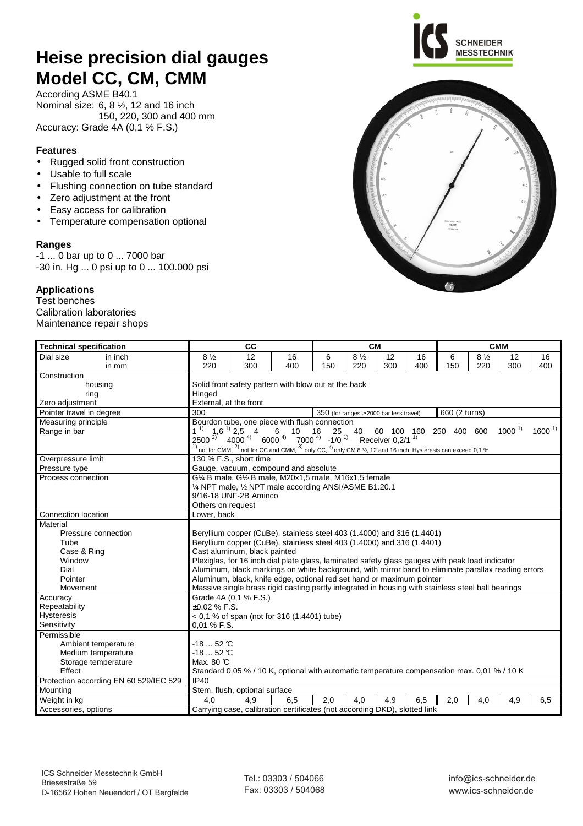# **Heise precision dial gauges Model CC, CM, CMM**

According ASME B40.1 Nominal size: 6, 8 ½, 12 and 16 inch 150, 220, 300 and 400 mm Accuracy: Grade 4A (0,1 % F.S.)

### **Features**

- Rugged solid front construction
- Usable to full scale
- Flushing connection on tube standard
- Zero adjustment at the front
- Easy access for calibration
- Temperature compensation optional

#### **Ranges**

-1 ... 0 bar up to 0 ... 7000 bar -30 in. Hg ... 0 psi up to 0 ... 100.000 psi

### **Applications**

Test benches Calibration laboratories Maintenance repair shops

| <b>Technical specification</b>         |                                                                                                                                                                             | <b>CM</b>                     |                                                                                                                                                                                            |     |                | <b>CMM</b>                                     |     |               |                |            |            |  |
|----------------------------------------|-----------------------------------------------------------------------------------------------------------------------------------------------------------------------------|-------------------------------|--------------------------------------------------------------------------------------------------------------------------------------------------------------------------------------------|-----|----------------|------------------------------------------------|-----|---------------|----------------|------------|------------|--|
| Dial size<br>in inch                   | $8\frac{1}{2}$                                                                                                                                                              | 12                            | 16                                                                                                                                                                                         | 6   | $8\frac{1}{2}$ | 12                                             | 16  | 6             | $8\frac{1}{2}$ | 12         | 16         |  |
| in mm                                  | 220                                                                                                                                                                         | 300                           | 400                                                                                                                                                                                        | 150 | 220            | 300                                            | 400 | 150           | 220            | 300        | 400        |  |
| Construction                           |                                                                                                                                                                             |                               |                                                                                                                                                                                            |     |                |                                                |     |               |                |            |            |  |
| housing                                | Solid front safety pattern with blow out at the back                                                                                                                        |                               |                                                                                                                                                                                            |     |                |                                                |     |               |                |            |            |  |
| ring                                   | Hinged<br>External, at the front                                                                                                                                            |                               |                                                                                                                                                                                            |     |                |                                                |     |               |                |            |            |  |
| Zero adjustment                        |                                                                                                                                                                             |                               |                                                                                                                                                                                            |     |                |                                                |     |               |                |            |            |  |
| Pointer travel in degree               | 300                                                                                                                                                                         |                               |                                                                                                                                                                                            |     |                | $350$ (for ranges $\geq 2000$ bar less travel) |     | 660 (2 turns) |                |            |            |  |
| Measuring principle                    |                                                                                                                                                                             |                               | Bourdon tube, one piece with flush connection                                                                                                                                              |     |                |                                                |     |               |                |            |            |  |
| Range in bar                           |                                                                                                                                                                             |                               | $1^{11}$ 1,6 <sup>1</sup> 2,5 4 6 10 16 25 40 60 100 160 250 400<br>2500 <sup>2)</sup> 4000 <sup>4</sup> 6000 <sup>4</sup> 7000 <sup>4</sup> -1/0 <sup>1</sup> Receiver 0,2/1 <sup>1</sup> |     |                |                                                |     |               | 600            | $1000^{1}$ | $1600^{1}$ |  |
|                                        |                                                                                                                                                                             |                               |                                                                                                                                                                                            |     |                |                                                |     |               |                |            |            |  |
|                                        |                                                                                                                                                                             |                               | not for CMM, <sup>2)</sup> not for CC and CMM, <sup>3)</sup> only CC, <sup>4)</sup> only CM 8 1/ <sub>2</sub> , 12 and 16 inch, Hysteresis can exceed 0,1 %                                |     |                |                                                |     |               |                |            |            |  |
| Overpressure limit                     |                                                                                                                                                                             | 130 % F.S., short time        |                                                                                                                                                                                            |     |                |                                                |     |               |                |            |            |  |
| Pressure type                          |                                                                                                                                                                             |                               | Gauge, vacuum, compound and absolute                                                                                                                                                       |     |                |                                                |     |               |                |            |            |  |
| Process connection                     |                                                                                                                                                                             |                               | G1/4 B male, G1/2 B male, M20x1,5 male, M16x1,5 female                                                                                                                                     |     |                |                                                |     |               |                |            |            |  |
|                                        |                                                                                                                                                                             |                               | 1/4 NPT male, 1/2 NPT male according ANSI/ASME B1.20.1                                                                                                                                     |     |                |                                                |     |               |                |            |            |  |
|                                        |                                                                                                                                                                             | 9/16-18 UNF-2B Aminco         |                                                                                                                                                                                            |     |                |                                                |     |               |                |            |            |  |
|                                        | Others on request                                                                                                                                                           |                               |                                                                                                                                                                                            |     |                |                                                |     |               |                |            |            |  |
| Connection location                    | Lower, back                                                                                                                                                                 |                               |                                                                                                                                                                                            |     |                |                                                |     |               |                |            |            |  |
| Material                               |                                                                                                                                                                             |                               |                                                                                                                                                                                            |     |                |                                                |     |               |                |            |            |  |
| Pressure connection                    |                                                                                                                                                                             |                               | Beryllium copper (CuBe), stainless steel 403 (1.4000) and 316 (1.4401)                                                                                                                     |     |                |                                                |     |               |                |            |            |  |
| Tube                                   | Beryllium copper (CuBe), stainless steel 403 (1.4000) and 316 (1.4401)                                                                                                      |                               |                                                                                                                                                                                            |     |                |                                                |     |               |                |            |            |  |
| Case & Ring                            | Cast aluminum, black painted                                                                                                                                                |                               |                                                                                                                                                                                            |     |                |                                                |     |               |                |            |            |  |
| Window                                 | Plexiglas, for 16 inch dial plate glass, laminated safety glass gauges with peak load indicator                                                                             |                               |                                                                                                                                                                                            |     |                |                                                |     |               |                |            |            |  |
| Dial                                   | Aluminum, black markings on white background, with mirror band to eliminate parallax reading errors                                                                         |                               |                                                                                                                                                                                            |     |                |                                                |     |               |                |            |            |  |
| Pointer                                | Aluminum, black, knife edge, optional red set hand or maximum pointer<br>Massive single brass rigid casting partly integrated in housing with stainless steel ball bearings |                               |                                                                                                                                                                                            |     |                |                                                |     |               |                |            |            |  |
| Movement                               |                                                                                                                                                                             |                               |                                                                                                                                                                                            |     |                |                                                |     |               |                |            |            |  |
| Accuracy                               |                                                                                                                                                                             | Grade 4A (0,1 % F.S.)         |                                                                                                                                                                                            |     |                |                                                |     |               |                |            |            |  |
| Repeatability                          | $\pm 0.02$ % F.S.                                                                                                                                                           |                               |                                                                                                                                                                                            |     |                |                                                |     |               |                |            |            |  |
| <b>Hysteresis</b>                      |                                                                                                                                                                             |                               | $0.1$ % of span (not for 316 (1.4401) tube)                                                                                                                                                |     |                |                                                |     |               |                |            |            |  |
| Sensitivity                            | 0.01 % F.S.                                                                                                                                                                 |                               |                                                                                                                                                                                            |     |                |                                                |     |               |                |            |            |  |
| Permissible                            |                                                                                                                                                                             |                               |                                                                                                                                                                                            |     |                |                                                |     |               |                |            |            |  |
| Ambient temperature                    | $-1852$ °C                                                                                                                                                                  |                               |                                                                                                                                                                                            |     |                |                                                |     |               |                |            |            |  |
| Medium temperature                     | $-1852$ °C                                                                                                                                                                  |                               |                                                                                                                                                                                            |     |                |                                                |     |               |                |            |            |  |
| Storage temperature                    | Max. 80 °C<br>Standard 0,05 % / 10 K, optional with automatic temperature compensation max. 0,01 % / 10 K                                                                   |                               |                                                                                                                                                                                            |     |                |                                                |     |               |                |            |            |  |
| Effect                                 |                                                                                                                                                                             |                               |                                                                                                                                                                                            |     |                |                                                |     |               |                |            |            |  |
| Protection according EN 60 529/IEC 529 | <b>IP40</b>                                                                                                                                                                 |                               |                                                                                                                                                                                            |     |                |                                                |     |               |                |            |            |  |
| Mounting                               |                                                                                                                                                                             | Stem, flush, optional surface |                                                                                                                                                                                            |     |                |                                                |     |               |                |            |            |  |
| Weight in kg                           | 4,0                                                                                                                                                                         | 4,9                           | 6,5                                                                                                                                                                                        | 2,0 | 4,0            | 4,9                                            | 6,5 | 2,0           | 4,0            | 4,9        | 6,5        |  |
| Accessories, options                   |                                                                                                                                                                             |                               | Carrying case, calibration certificates (not according DKD), slotted link                                                                                                                  |     |                |                                                |     |               |                |            |            |  |